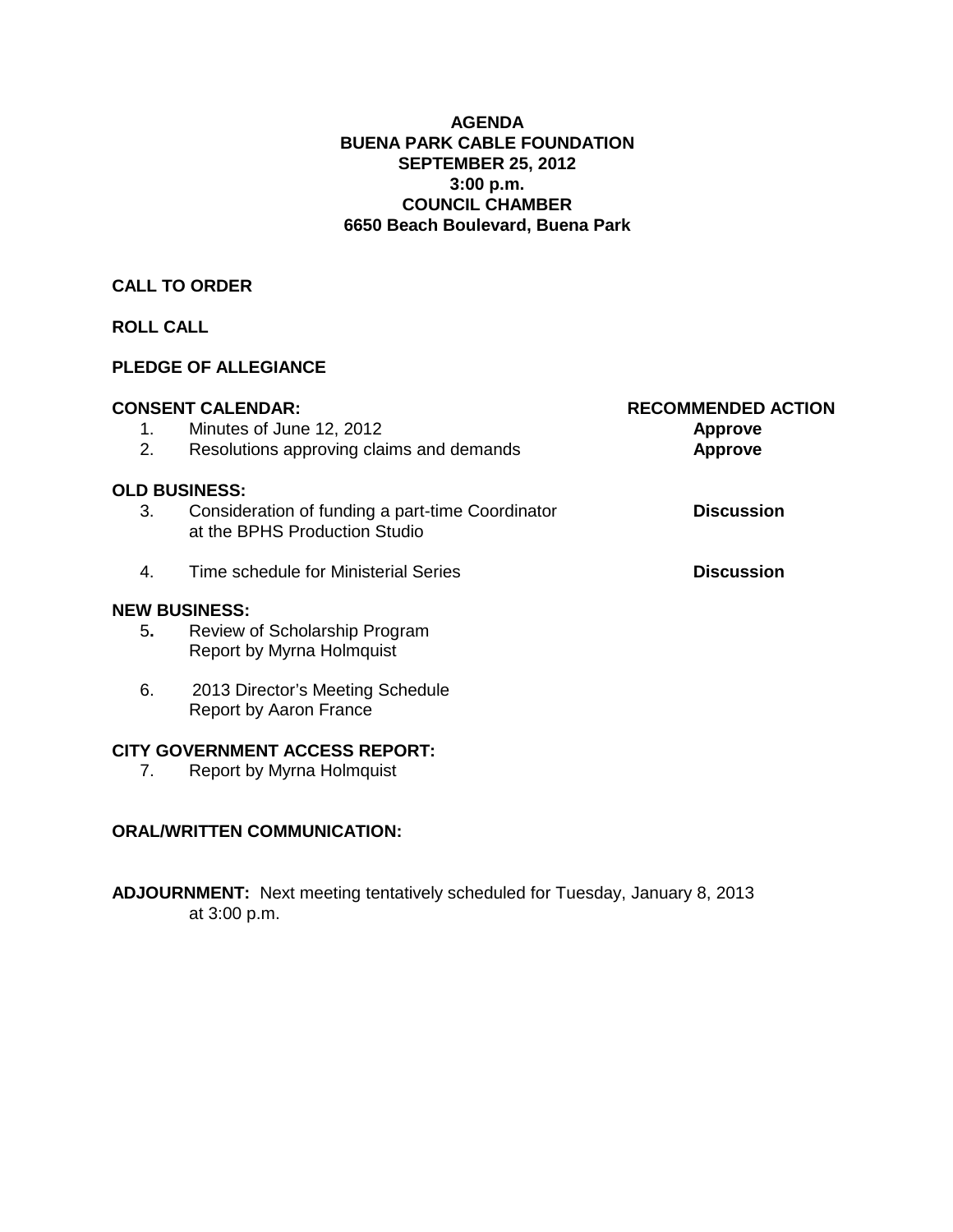#### **AGENDA BUENA PARK CABLE FOUNDATION SEPTEMBER 25, 2012 3:00 p.m. COUNCIL CHAMBER 6650 Beach Boulevard, Buena Park**

## **CALL TO ORDER**

## **ROLL CALL**

## **PLEDGE OF ALLEGIANCE**

|    | <b>CONSENT CALENDAR:</b>                                                          | <b>RECOMMENDED ACTION</b> |
|----|-----------------------------------------------------------------------------------|---------------------------|
| 1. | Minutes of June 12, 2012                                                          | <b>Approve</b>            |
| 2. | Resolutions approving claims and demands                                          | <b>Approve</b>            |
|    | <b>OLD BUSINESS:</b>                                                              |                           |
| 3. | Consideration of funding a part-time Coordinator<br>at the BPHS Production Studio | <b>Discussion</b>         |
| 4. | Time schedule for Ministerial Series                                              | <b>Discussion</b>         |
|    | <b>NEW BUSINESS:</b>                                                              |                           |
| 5. | Review of Scholarship Program<br><b>Report by Myrna Holmquist</b>                 |                           |
| 6. | 2013 Director's Meeting Schedule<br><b>Report by Aaron France</b>                 |                           |
|    | <b>CITY GOVERNMENT ACCESS REPORT:</b>                                             |                           |
| 7. | Report by Myrna Holmquist                                                         |                           |

## **ORAL/WRITTEN COMMUNICATION:**

**ADJOURNMENT:** Next meeting tentatively scheduled for Tuesday, January 8, 2013 at 3:00 p.m.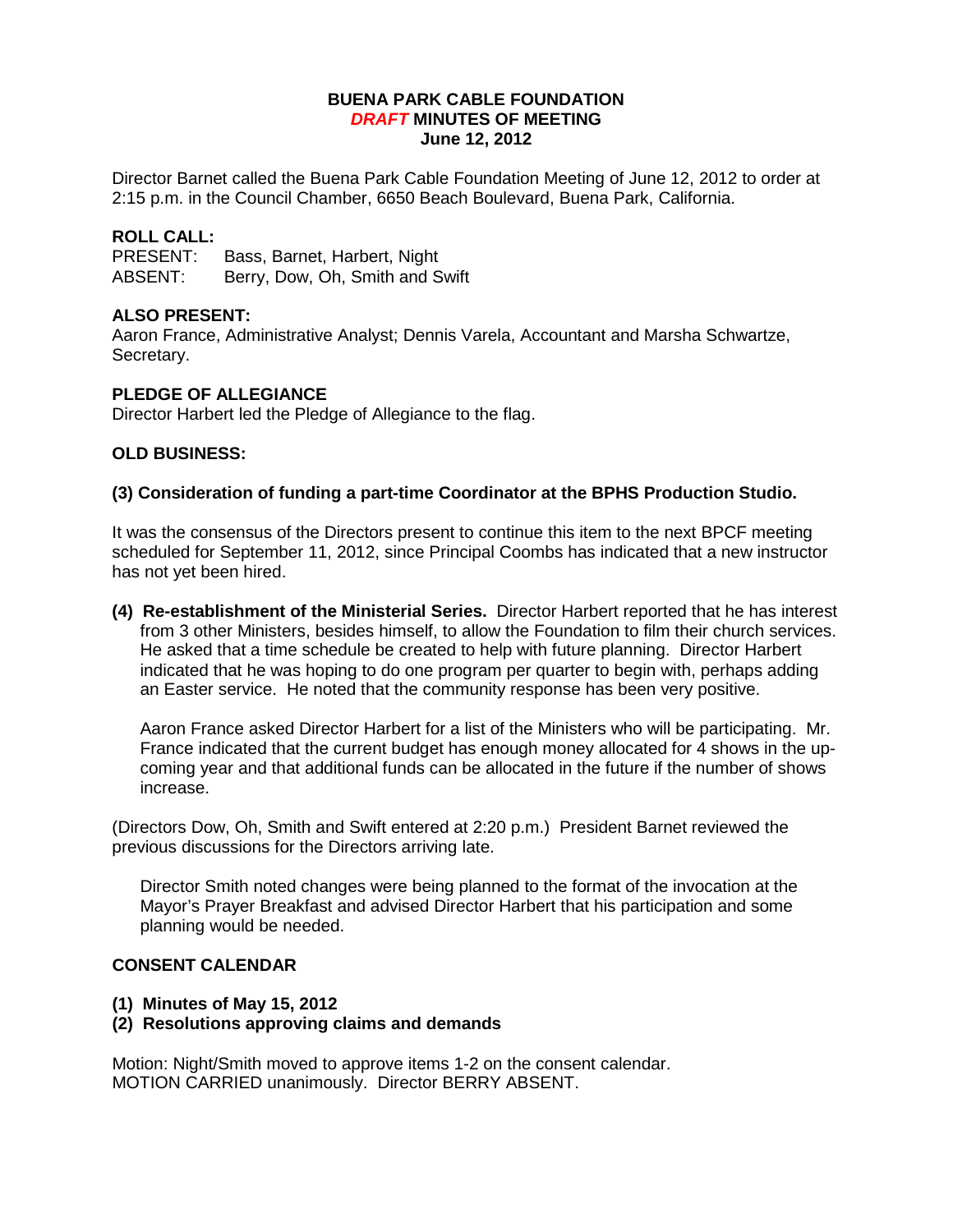#### **BUENA PARK CABLE FOUNDATION** *DRAFT* **MINUTES OF MEETING June 12, 2012**

Director Barnet called the Buena Park Cable Foundation Meeting of June 12, 2012 to order at 2:15 p.m. in the Council Chamber, 6650 Beach Boulevard, Buena Park, California.

# **ROLL CALL:**

Bass, Barnet, Harbert, Night ABSENT: Berry, Dow, Oh, Smith and Swift

#### **ALSO PRESENT:**

Aaron France, Administrative Analyst; Dennis Varela, Accountant and Marsha Schwartze, Secretary.

#### **PLEDGE OF ALLEGIANCE**

Director Harbert led the Pledge of Allegiance to the flag.

#### **OLD BUSINESS:**

#### **(3) Consideration of funding a part-time Coordinator at the BPHS Production Studio.**

It was the consensus of the Directors present to continue this item to the next BPCF meeting scheduled for September 11, 2012, since Principal Coombs has indicated that a new instructor has not yet been hired.

**(4) Re-establishment of the Ministerial Series.** Director Harbert reported that he has interest from 3 other Ministers, besides himself, to allow the Foundation to film their church services. He asked that a time schedule be created to help with future planning. Director Harbert indicated that he was hoping to do one program per quarter to begin with, perhaps adding an Easter service. He noted that the community response has been very positive.

Aaron France asked Director Harbert for a list of the Ministers who will be participating. Mr. France indicated that the current budget has enough money allocated for 4 shows in the upcoming year and that additional funds can be allocated in the future if the number of shows increase.

(Directors Dow, Oh, Smith and Swift entered at 2:20 p.m.) President Barnet reviewed the previous discussions for the Directors arriving late.

Director Smith noted changes were being planned to the format of the invocation at the Mayor's Prayer Breakfast and advised Director Harbert that his participation and some planning would be needed.

#### **CONSENT CALENDAR**

- **(1) Minutes of May 15, 2012**
- **(2) Resolutions approving claims and demands**

Motion: Night/Smith moved to approve items 1-2 on the consent calendar. MOTION CARRIED unanimously. Director BERRY ABSENT.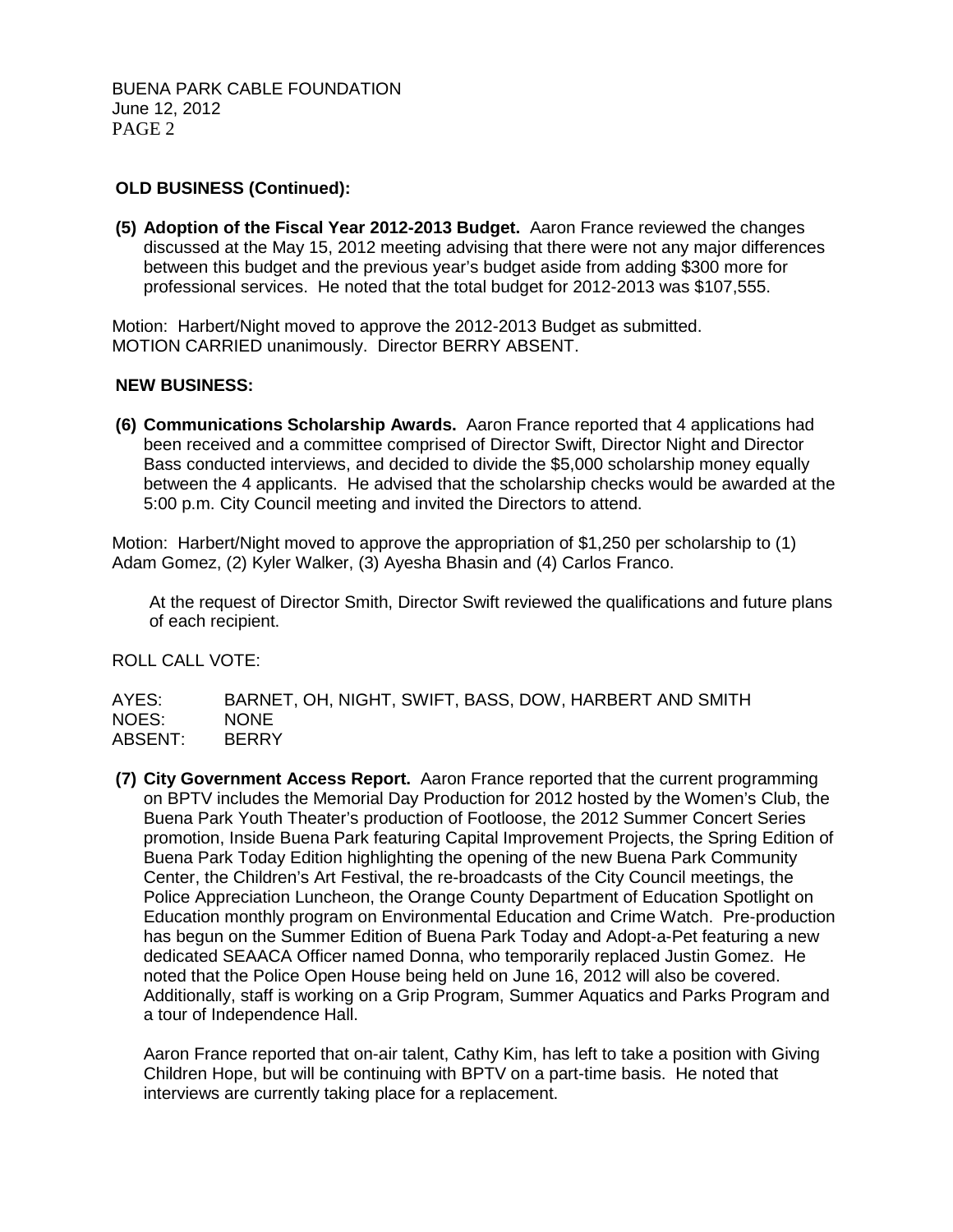## **OLD BUSINESS (Continued):**

**(5) Adoption of the Fiscal Year 2012-2013 Budget.** Aaron France reviewed the changes discussed at the May 15, 2012 meeting advising that there were not any major differences between this budget and the previous year's budget aside from adding \$300 more for professional services. He noted that the total budget for 2012-2013 was \$107,555.

Motion: Harbert/Night moved to approve the 2012-2013 Budget as submitted. MOTION CARRIED unanimously. Director BERRY ABSENT.

#### **NEW BUSINESS:**

**(6) Communications Scholarship Awards.** Aaron France reported that 4 applications had been received and a committee comprised of Director Swift, Director Night and Director Bass conducted interviews, and decided to divide the \$5,000 scholarship money equally between the 4 applicants. He advised that the scholarship checks would be awarded at the 5:00 p.m. City Council meeting and invited the Directors to attend.

Motion: Harbert/Night moved to approve the appropriation of \$1,250 per scholarship to (1) Adam Gomez, (2) Kyler Walker, (3) Ayesha Bhasin and (4) Carlos Franco.

At the request of Director Smith, Director Swift reviewed the qualifications and future plans of each recipient.

ROLL CALL VOTE:

AYES: BARNET, OH, NIGHT, SWIFT, BASS, DOW, HARBERT AND SMITH NOES: NONE<br>ABSENT: BERRY ABSENT:

**(7) City Government Access Report.** Aaron France reported that the current programming on BPTV includes the Memorial Day Production for 2012 hosted by the Women's Club, the Buena Park Youth Theater's production of Footloose, the 2012 Summer Concert Series promotion, Inside Buena Park featuring Capital Improvement Projects, the Spring Edition of Buena Park Today Edition highlighting the opening of the new Buena Park Community Center, the Children's Art Festival, the re-broadcasts of the City Council meetings, the Police Appreciation Luncheon, the Orange County Department of Education Spotlight on Education monthly program on Environmental Education and Crime Watch. Pre-production has begun on the Summer Edition of Buena Park Today and Adopt-a-Pet featuring a new dedicated SEAACA Officer named Donna, who temporarily replaced Justin Gomez. He noted that the Police Open House being held on June 16, 2012 will also be covered. Additionally, staff is working on a Grip Program, Summer Aquatics and Parks Program and a tour of Independence Hall.

Aaron France reported that on-air talent, Cathy Kim, has left to take a position with Giving Children Hope, but will be continuing with BPTV on a part-time basis. He noted that interviews are currently taking place for a replacement.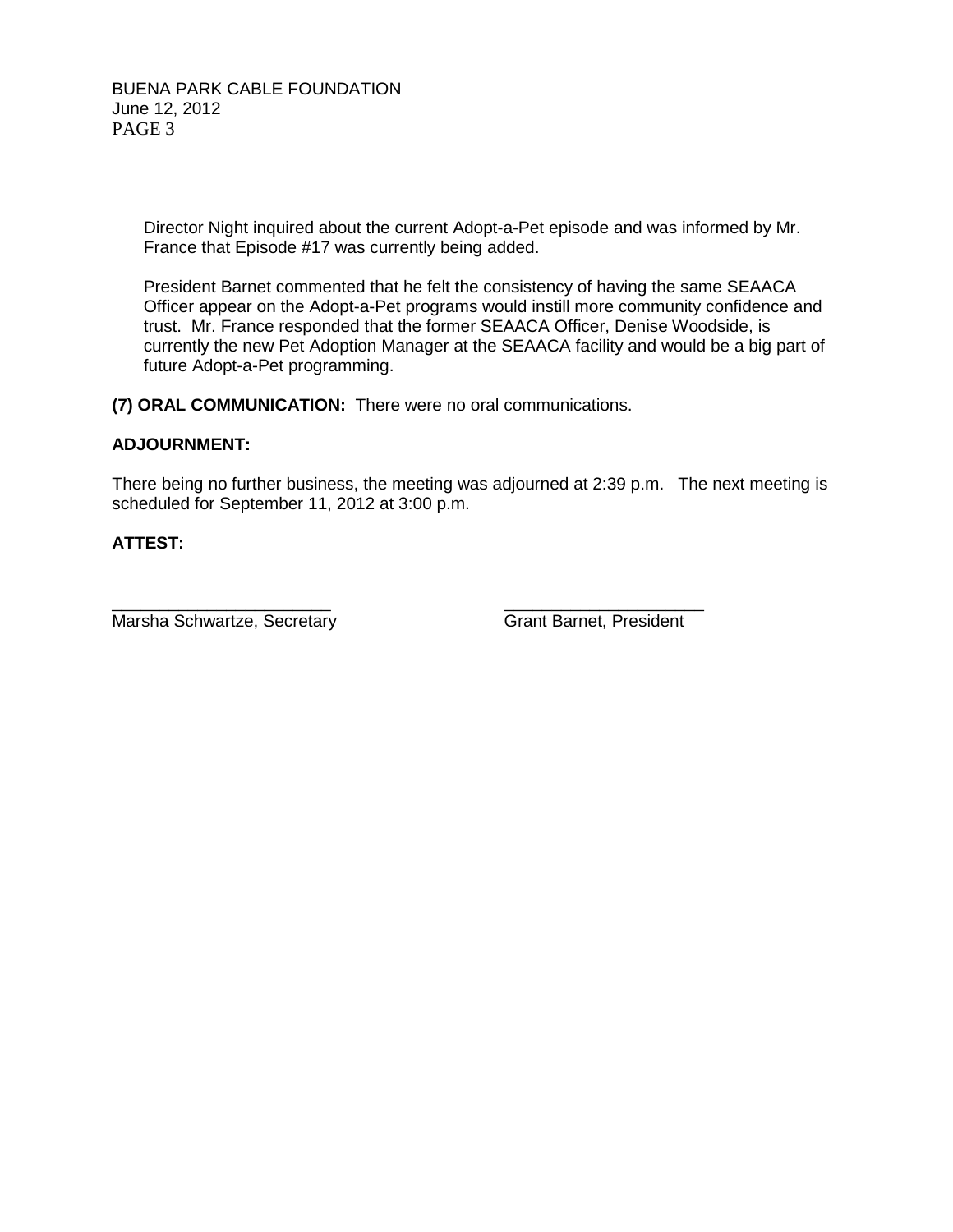BUENA PARK CABLE FOUNDATION June 12, 2012 PAGE 3

> Director Night inquired about the current Adopt-a-Pet episode and was informed by Mr. France that Episode #17 was currently being added.

President Barnet commented that he felt the consistency of having the same SEAACA Officer appear on the Adopt-a-Pet programs would instill more community confidence and trust. Mr. France responded that the former SEAACA Officer, Denise Woodside, is currently the new Pet Adoption Manager at the SEAACA facility and would be a big part of future Adopt-a-Pet programming.

**(7) ORAL COMMUNICATION:** There were no oral communications.

#### **ADJOURNMENT:**

There being no further business, the meeting was adjourned at 2:39 p.m. The next meeting is scheduled for September 11, 2012 at 3:00 p.m.

### **ATTEST:**

Marsha Schwartze, Secretary Grant Barnet, President

\_\_\_\_\_\_\_\_\_\_\_\_\_\_\_\_\_\_\_\_\_\_\_ \_\_\_\_\_\_\_\_\_\_\_\_\_\_\_\_\_\_\_\_\_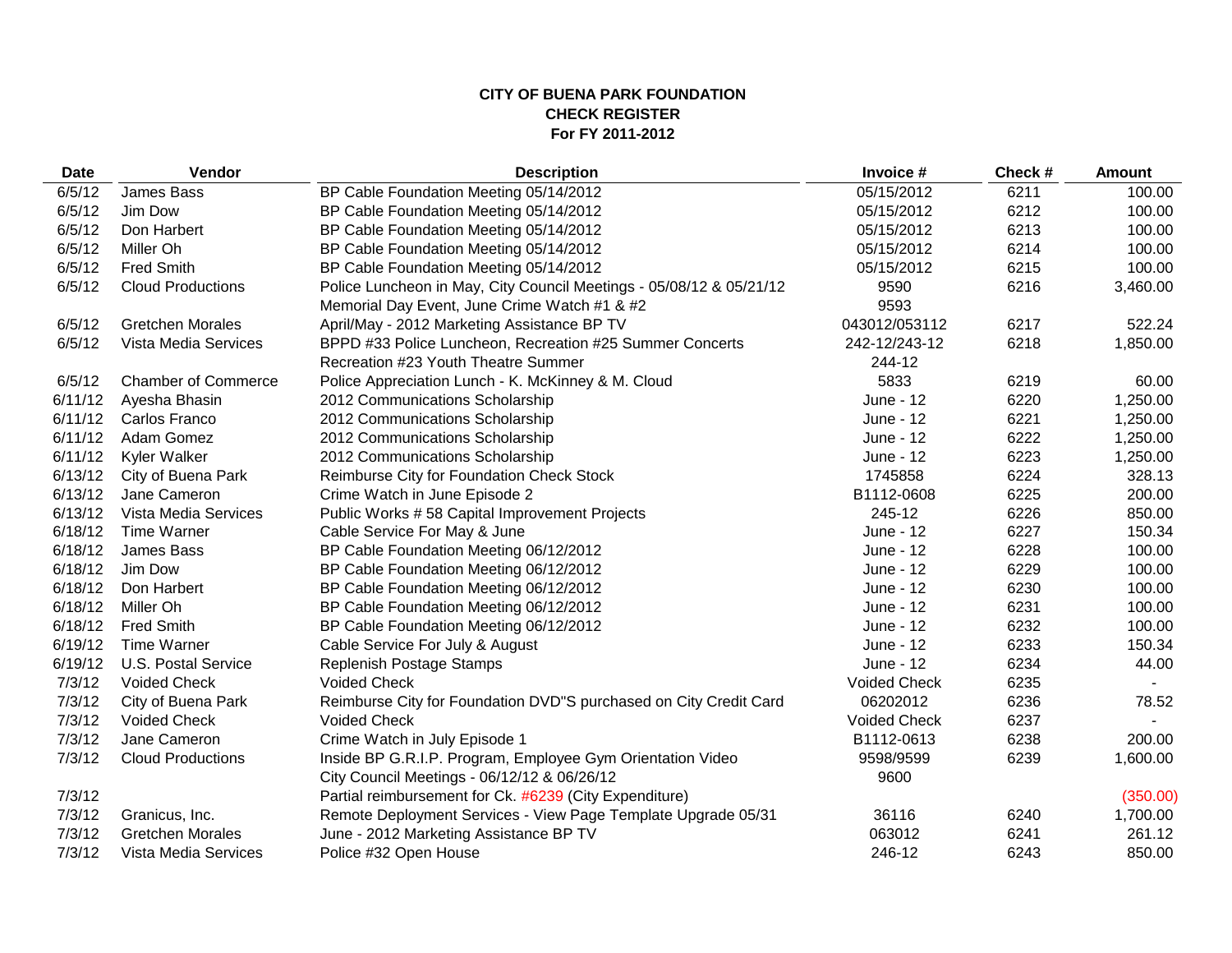#### **CITY OF BUENA PARK FOUNDATION CHECK REGISTER For FY 2011-2012**

| <b>Date</b> | Vendor<br><b>Description</b> |                                                                     | Invoice #           | Check # | <b>Amount</b> |  |
|-------------|------------------------------|---------------------------------------------------------------------|---------------------|---------|---------------|--|
| 6/5/12      | James Bass                   | BP Cable Foundation Meeting 05/14/2012                              | 05/15/2012          | 6211    | 100.00        |  |
| 6/5/12      | Jim Dow                      | BP Cable Foundation Meeting 05/14/2012                              | 05/15/2012          | 6212    | 100.00        |  |
| 6/5/12      | Don Harbert                  | BP Cable Foundation Meeting 05/14/2012                              | 05/15/2012          | 6213    | 100.00        |  |
| 6/5/12      | Miller Oh                    | BP Cable Foundation Meeting 05/14/2012                              | 05/15/2012          | 6214    | 100.00        |  |
| 6/5/12      | <b>Fred Smith</b>            | BP Cable Foundation Meeting 05/14/2012                              | 05/15/2012          | 6215    | 100.00        |  |
| 6/5/12      | <b>Cloud Productions</b>     | Police Luncheon in May, City Council Meetings - 05/08/12 & 05/21/12 | 9590                | 6216    | 3,460.00      |  |
|             |                              | Memorial Day Event, June Crime Watch #1 & #2                        | 9593                |         |               |  |
| 6/5/12      | <b>Gretchen Morales</b>      | April/May - 2012 Marketing Assistance BP TV                         | 043012/053112       | 6217    | 522.24        |  |
| 6/5/12      | Vista Media Services         | BPPD #33 Police Luncheon, Recreation #25 Summer Concerts            | 242-12/243-12       | 6218    | 1,850.00      |  |
|             |                              | Recreation #23 Youth Theatre Summer                                 | 244-12              |         |               |  |
| 6/5/12      | <b>Chamber of Commerce</b>   | Police Appreciation Lunch - K. McKinney & M. Cloud                  | 5833                | 6219    | 60.00         |  |
| 6/11/12     | Ayesha Bhasin                | 2012 Communications Scholarship                                     | June - 12           | 6220    | 1,250.00      |  |
| 6/11/12     | Carlos Franco                | 2012 Communications Scholarship                                     | June - 12           | 6221    | 1,250.00      |  |
| 6/11/12     | Adam Gomez                   | 2012 Communications Scholarship                                     | June - 12           | 6222    | 1,250.00      |  |
| 6/11/12     | Kyler Walker                 | 2012 Communications Scholarship                                     | June - 12           | 6223    | 1,250.00      |  |
| 6/13/12     | City of Buena Park           | Reimburse City for Foundation Check Stock                           | 1745858             | 6224    | 328.13        |  |
| 6/13/12     | Jane Cameron                 | Crime Watch in June Episode 2                                       | B1112-0608          | 6225    | 200.00        |  |
| 6/13/12     | Vista Media Services         | Public Works #58 Capital Improvement Projects                       | 245-12              | 6226    | 850.00        |  |
| 6/18/12     | Time Warner                  | Cable Service For May & June                                        | June - 12           | 6227    | 150.34        |  |
| 6/18/12     | James Bass                   | BP Cable Foundation Meeting 06/12/2012                              | June - 12           | 6228    | 100.00        |  |
| 6/18/12     | Jim Dow                      | BP Cable Foundation Meeting 06/12/2012                              | June - 12           | 6229    | 100.00        |  |
| 6/18/12     | Don Harbert                  | BP Cable Foundation Meeting 06/12/2012                              | June - 12           | 6230    | 100.00        |  |
| 6/18/12     | Miller Oh                    | BP Cable Foundation Meeting 06/12/2012                              |                     | 6231    | 100.00        |  |
| 6/18/12     | <b>Fred Smith</b>            | BP Cable Foundation Meeting 06/12/2012                              | June - 12           | 6232    | 100.00        |  |
| 6/19/12     | <b>Time Warner</b>           | Cable Service For July & August                                     | June - 12           | 6233    | 150.34        |  |
| 6/19/12     | U.S. Postal Service          | Replenish Postage Stamps                                            | June - 12           | 6234    | 44.00         |  |
| 7/3/12      | <b>Voided Check</b>          | <b>Voided Check</b>                                                 | <b>Voided Check</b> | 6235    |               |  |
| 7/3/12      | City of Buena Park           | Reimburse City for Foundation DVD"S purchased on City Credit Card   | 06202012            | 6236    | 78.52         |  |
| 7/3/12      | <b>Voided Check</b>          | <b>Voided Check</b>                                                 | <b>Voided Check</b> | 6237    |               |  |
| 7/3/12      | Jane Cameron                 | Crime Watch in July Episode 1                                       | B1112-0613          | 6238    | 200.00        |  |
| 7/3/12      | <b>Cloud Productions</b>     | Inside BP G.R.I.P. Program, Employee Gym Orientation Video          | 9598/9599           | 6239    | 1,600.00      |  |
|             |                              | City Council Meetings - 06/12/12 & 06/26/12                         | 9600                |         |               |  |
| 7/3/12      |                              | Partial reimbursement for Ck. #6239 (City Expenditure)              |                     |         | (350.00)      |  |
| 7/3/12      | Granicus, Inc.               | Remote Deployment Services - View Page Template Upgrade 05/31       | 36116               | 6240    | 1,700.00      |  |
| 7/3/12      | <b>Gretchen Morales</b>      | June - 2012 Marketing Assistance BP TV                              | 063012              | 6241    | 261.12        |  |
| 7/3/12      | Vista Media Services         | Police #32 Open House                                               | 246-12              | 6243    | 850.00        |  |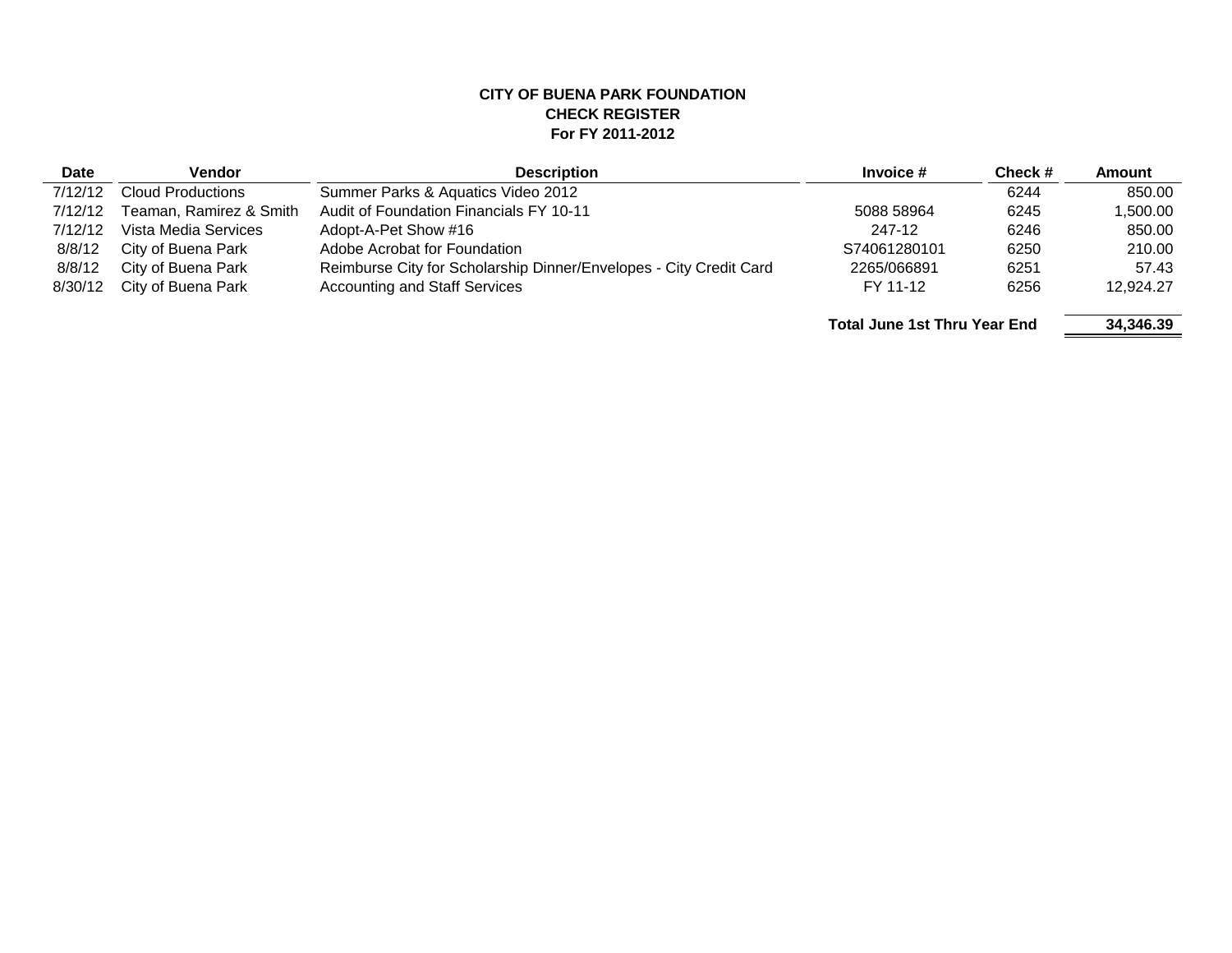#### **CITY OF BUENA PARK FOUNDATION CHECK REGISTER For FY 2011-2012**

| <b>Date</b> | Vendor                              | <b>Description</b>                                                 |              | Check#    | <b>Amount</b> |
|-------------|-------------------------------------|--------------------------------------------------------------------|--------------|-----------|---------------|
| 7/12/12     | <b>Cloud Productions</b>            | Summer Parks & Aquatics Video 2012                                 |              | 6244      | 850.00        |
| 7/12/12     | Teaman, Ramirez & Smith             | Audit of Foundation Financials FY 10-11                            | 5088 58964   | 6245      | 1.500.00      |
| 7/12/12     | Vista Media Services                | Adopt-A-Pet Show #16                                               | 247-12       | 6246      | 850.00        |
| 8/8/12      | City of Buena Park                  | Adobe Acrobat for Foundation                                       | S74061280101 | 6250      | 210.00        |
| 8/8/12      | City of Buena Park                  | Reimburse City for Scholarship Dinner/Envelopes - City Credit Card | 2265/066891  | 6251      | 57.43         |
| 8/30/12     | City of Buena Park                  | <b>Accounting and Staff Services</b>                               | FY 11-12     | 6256      | 12.924.27     |
|             | <b>Total June 1st Thru Year End</b> |                                                                    |              | 34.346.39 |               |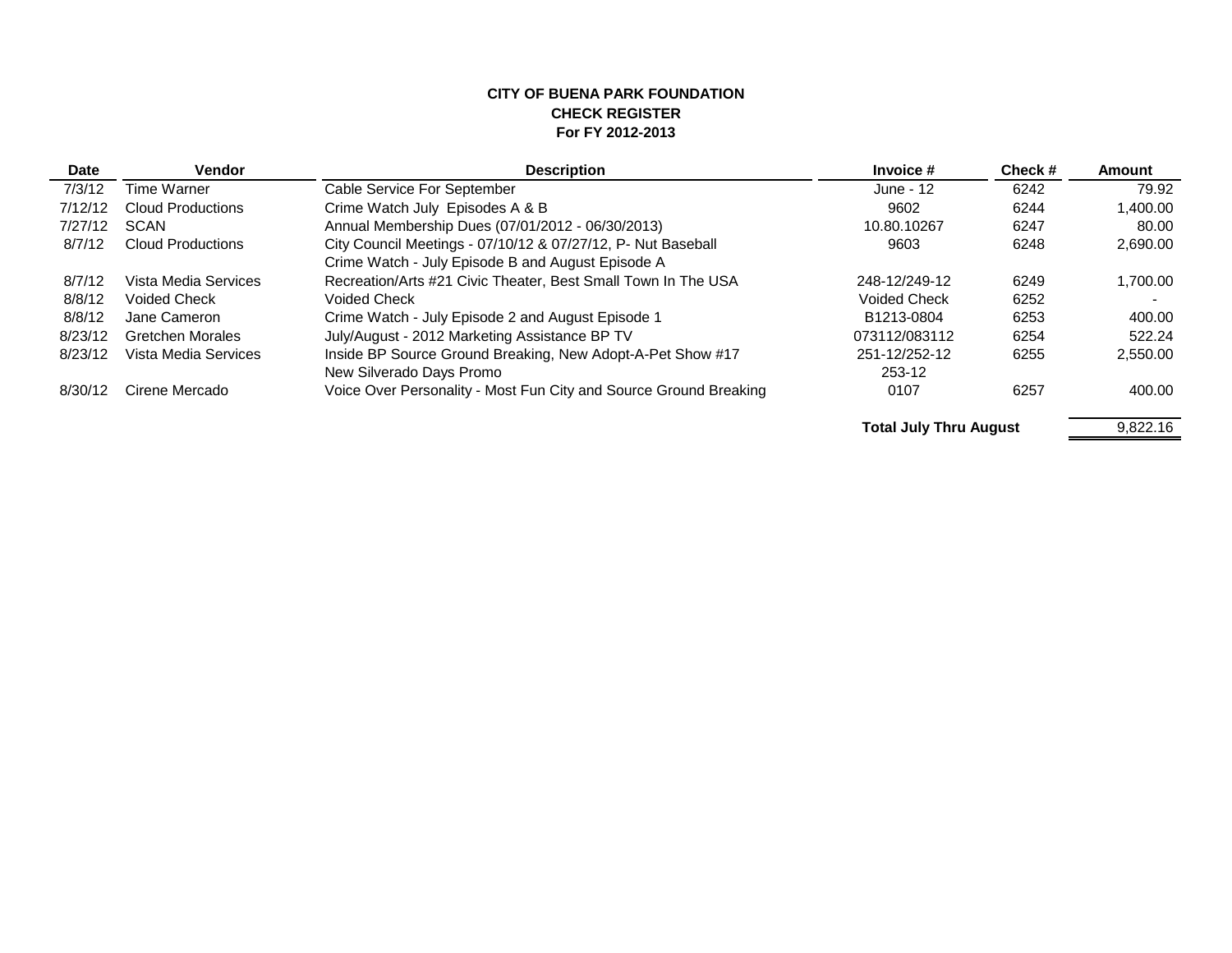#### **CITY OF BUENA PARK FOUNDATION CHECK REGISTER For FY 2012-2013**

| <b>Date</b> | <b>Vendor</b>            | <b>Description</b>                                                |                     | Check#  | Amount   |  |
|-------------|--------------------------|-------------------------------------------------------------------|---------------------|---------|----------|--|
| 7/3/12      | Time Warner              | Cable Service For September                                       | June - 12           | 6242    | 79.92    |  |
| 7/12/12     | <b>Cloud Productions</b> | Crime Watch July Episodes A & B                                   | 9602                | 6244    | 1,400.00 |  |
| 7/27/12     | <b>SCAN</b>              | Annual Membership Dues (07/01/2012 - 06/30/2013)                  | 10.80.10267         | 6247    | 80.00    |  |
| 8/7/12      | Cloud Productions        | City Council Meetings - 07/10/12 & 07/27/12, P- Nut Baseball      | 9603                | 6248    | 2,690.00 |  |
|             |                          | Crime Watch - July Episode B and August Episode A                 |                     |         |          |  |
| 8/7/12      | Vista Media Services     | Recreation/Arts #21 Civic Theater, Best Small Town In The USA     | 248-12/249-12       | 6249    | 1.700.00 |  |
| 8/8/12      | <b>Voided Check</b>      | Voided Check                                                      | <b>Voided Check</b> | 6252    |          |  |
| 8/8/12      | Jane Cameron             | Crime Watch - July Episode 2 and August Episode 1                 | B1213-0804          | 6253    | 400.00   |  |
| 8/23/12     | Gretchen Morales         | July/August - 2012 Marketing Assistance BP TV                     | 073112/083112       | 6254    | 522.24   |  |
| 8/23/12     | Vista Media Services     | Inside BP Source Ground Breaking, New Adopt-A-Pet Show #17        | 251-12/252-12       | 6255    | 2.550.00 |  |
|             |                          | New Silverado Days Promo                                          | 253-12              |         |          |  |
| 8/30/12     | Cirene Mercado           | Voice Over Personality - Most Fun City and Source Ground Breaking | 0107                | 6257    | 400.00   |  |
|             |                          | Tatal buby Thomas Assemble                                        |                     | 0.00010 |          |  |

**Total July Thru August**

9,822.16